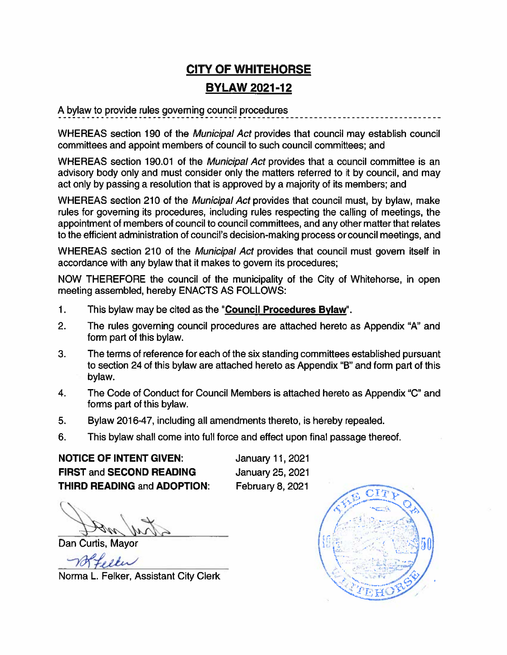# **CITY OF WHITEHORSE BYLAW 2021-12**

A bylaw to provide rules governing council procedures

WHEREAS section 190 of the Municipal Act provides that council may establish council committees and appoint members of council to such council committees; and

WHEREAS section 190.01 of the Municipal Act provides that a council committee is an advisory body only and must consider only the matters referred to it by council, and may act only by passing a resolution that is approved by a majority of its members; and

WHEREAS section 210 of the Municipal Act provides that council must, by bylaw, make rules for governing its procedures, including rules respecting the calling of meetings, the appointment of members of council to council committees, and any other matter that relates to the efficient administration of council's decision-making process or council meetings, and

WHEREAS section 210 of the Municipal Act provides that council must govern itself in accordance with any bylaw that it makes to govern its procedures;

NOW THEREFORE the council of the municipality of the City of Whitehorse, in open meeting assembled, hereby ENACTS AS FOLLOWS:

- $\mathbf 1$ . This bylaw may be cited as the "Council Procedures Bylaw".
- $2.$ The rules governing council procedures are attached hereto as Appendix "A" and form part of this bylaw.
- 3. The terms of reference for each of the six standing committees established pursuant to section 24 of this bylaw are attached hereto as Appendix "B" and form part of this bylaw.
- The Code of Conduct for Council Members is attached hereto as Appendix "C" and 4. forms part of this bylaw.
- Bylaw 2016-47, including all amendments thereto, is hereby repealed. 5.
- 6. This bylaw shall come into full force and effect upon final passage thereof.

**NOTICE OF INTENT GIVEN: FIRST and SECOND READING THIRD READING and ADOPTION:**  January 11, 2021 January 25, 2021 February 8, 2021

Dan Curtis, Mavor

Norma L. Felker, Assistant City Clerk

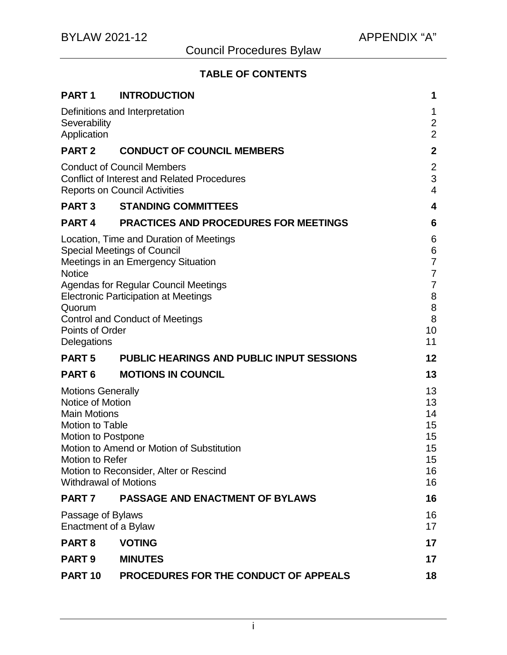## **TABLE OF CONTENTS**

| PART <sub>1</sub>                                                                                                                                                                                                                                                    | <b>INTRODUCTION</b>                                                                                                                                                                                                                                         | 1                                                                                       |
|----------------------------------------------------------------------------------------------------------------------------------------------------------------------------------------------------------------------------------------------------------------------|-------------------------------------------------------------------------------------------------------------------------------------------------------------------------------------------------------------------------------------------------------------|-----------------------------------------------------------------------------------------|
| Severability<br>Application                                                                                                                                                                                                                                          | Definitions and Interpretation                                                                                                                                                                                                                              | 1<br>$\overline{c}$<br>$\overline{2}$                                                   |
| PART <sub>2</sub>                                                                                                                                                                                                                                                    | <b>CONDUCT OF COUNCIL MEMBERS</b>                                                                                                                                                                                                                           | $\mathbf 2$                                                                             |
| <b>Conduct of Council Members</b><br><b>Conflict of Interest and Related Procedures</b><br><b>Reports on Council Activities</b>                                                                                                                                      |                                                                                                                                                                                                                                                             | $\overline{\mathbf{c}}$<br>3<br>4                                                       |
| <b>PART3</b>                                                                                                                                                                                                                                                         | <b>STANDING COMMITTEES</b>                                                                                                                                                                                                                                  | 4                                                                                       |
| PART <sub>4</sub>                                                                                                                                                                                                                                                    | <b>PRACTICES AND PROCEDURES FOR MEETINGS</b>                                                                                                                                                                                                                | 6                                                                                       |
| <b>Notice</b><br>Quorum<br>Points of Order<br>Delegations                                                                                                                                                                                                            | Location, Time and Duration of Meetings<br><b>Special Meetings of Council</b><br>Meetings in an Emergency Situation<br><b>Agendas for Regular Council Meetings</b><br><b>Electronic Participation at Meetings</b><br><b>Control and Conduct of Meetings</b> | 6<br>6<br>$\overline{7}$<br>$\overline{7}$<br>$\overline{7}$<br>8<br>8<br>8<br>10<br>11 |
| <b>PART5</b>                                                                                                                                                                                                                                                         | <b>PUBLIC HEARINGS AND PUBLIC INPUT SESSIONS</b>                                                                                                                                                                                                            | 12                                                                                      |
| PART <sub>6</sub>                                                                                                                                                                                                                                                    | <b>MOTIONS IN COUNCIL</b>                                                                                                                                                                                                                                   | 13                                                                                      |
| <b>Motions Generally</b><br>Notice of Motion<br><b>Main Motions</b><br><b>Motion to Table</b><br><b>Motion to Postpone</b><br>Motion to Amend or Motion of Substitution<br>Motion to Refer<br>Motion to Reconsider, Alter or Rescind<br><b>Withdrawal of Motions</b> |                                                                                                                                                                                                                                                             | 13<br>13<br>14<br>15<br>15<br>15<br>15<br>16<br>16                                      |
| PART <sub>7</sub>                                                                                                                                                                                                                                                    | <b>PASSAGE AND ENACTMENT OF BYLAWS</b>                                                                                                                                                                                                                      | 16                                                                                      |
| Passage of Bylaws<br>Enactment of a Bylaw                                                                                                                                                                                                                            |                                                                                                                                                                                                                                                             | 16<br>17                                                                                |
| PART <sub>8</sub>                                                                                                                                                                                                                                                    | <b>VOTING</b>                                                                                                                                                                                                                                               | 17                                                                                      |
| <b>PART 9</b>                                                                                                                                                                                                                                                        | <b>MINUTES</b>                                                                                                                                                                                                                                              | 17                                                                                      |
| <b>PART 10</b>                                                                                                                                                                                                                                                       | PROCEDURES FOR THE CONDUCT OF APPEALS                                                                                                                                                                                                                       | 18                                                                                      |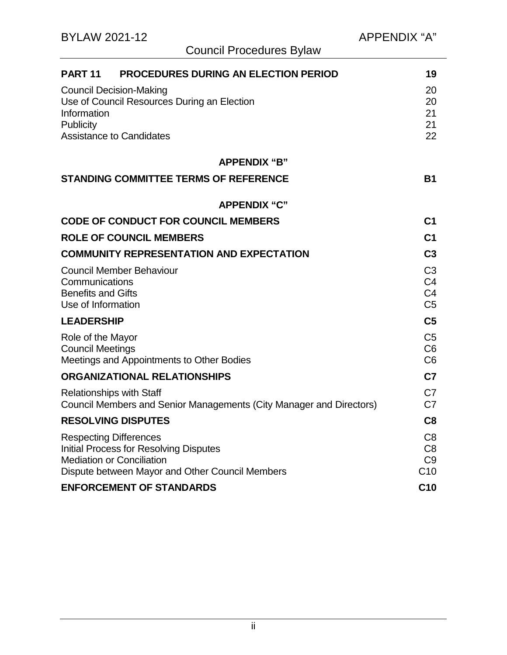| <b>PROCEDURES DURING AN ELECTION PERIOD</b><br><b>PART 11</b>                                                                                                         | 19                                                                   |  |
|-----------------------------------------------------------------------------------------------------------------------------------------------------------------------|----------------------------------------------------------------------|--|
| <b>Council Decision-Making</b><br>Use of Council Resources During an Election<br>Information<br>Publicity<br><b>Assistance to Candidates</b>                          | 20<br>20<br>21<br>21<br>22                                           |  |
| <b>APPENDIX "B"</b>                                                                                                                                                   |                                                                      |  |
| <b>STANDING COMMITTEE TERMS OF REFERENCE</b>                                                                                                                          | <b>B1</b>                                                            |  |
| <b>APPENDIX "C"</b>                                                                                                                                                   |                                                                      |  |
| <b>CODE OF CONDUCT FOR COUNCIL MEMBERS</b>                                                                                                                            | C <sub>1</sub>                                                       |  |
| <b>ROLE OF COUNCIL MEMBERS</b>                                                                                                                                        | C <sub>1</sub>                                                       |  |
| <b>COMMUNITY REPRESENTATION AND EXPECTATION</b>                                                                                                                       |                                                                      |  |
| <b>Council Member Behaviour</b><br>Communications<br><b>Benefits and Gifts</b><br>Use of Information                                                                  | C <sub>3</sub><br>C <sub>4</sub><br>C <sub>4</sub><br>C <sub>5</sub> |  |
| <b>LEADERSHIP</b>                                                                                                                                                     | C <sub>5</sub>                                                       |  |
| Role of the Mayor<br><b>Council Meetings</b><br>Meetings and Appointments to Other Bodies                                                                             | C <sub>5</sub><br>C <sub>6</sub><br>C <sub>6</sub>                   |  |
| <b>ORGANIZATIONAL RELATIONSHIPS</b>                                                                                                                                   | C <sub>7</sub>                                                       |  |
| <b>Relationships with Staff</b><br>Council Members and Senior Managements (City Manager and Directors)                                                                | C7<br>C <sub>7</sub>                                                 |  |
| <b>RESOLVING DISPUTES</b>                                                                                                                                             |                                                                      |  |
| <b>Respecting Differences</b><br><b>Initial Process for Resolving Disputes</b><br><b>Mediation or Conciliation</b><br>Dispute between Mayor and Other Council Members | C <sub>8</sub><br>C <sub>8</sub><br>C <sub>9</sub><br>C10            |  |
| <b>ENFORCEMENT OF STANDARDS</b>                                                                                                                                       |                                                                      |  |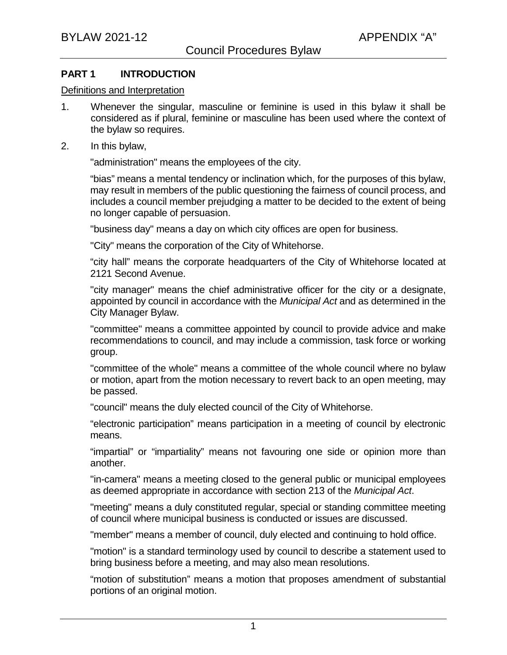### **PART 1 INTRODUCTION**

#### Definitions and Interpretation

- 1. Whenever the singular, masculine or feminine is used in this bylaw it shall be considered as if plural, feminine or masculine has been used where the context of the bylaw so requires.
- 2. In this bylaw,

"administration" means the employees of the city.

"bias" means a mental tendency or inclination which, for the purposes of this bylaw, may result in members of the public questioning the fairness of council process, and includes a council member prejudging a matter to be decided to the extent of being no longer capable of persuasion.

"business day" means a day on which city offices are open for business.

"City" means the corporation of the City of Whitehorse.

"city hall" means the corporate headquarters of the City of Whitehorse located at 2121 Second Avenue.

"city manager" means the chief administrative officer for the city or a designate, appointed by council in accordance with the *Municipal Act* and as determined in the City Manager Bylaw.

"committee" means a committee appointed by council to provide advice and make recommendations to council, and may include a commission, task force or working group.

"committee of the whole" means a committee of the whole council where no bylaw or motion, apart from the motion necessary to revert back to an open meeting, may be passed.

"council" means the duly elected council of the City of Whitehorse.

"electronic participation" means participation in a meeting of council by electronic means.

"impartial" or "impartiality" means not favouring one side or opinion more than another.

"in-camera" means a meeting closed to the general public or municipal employees as deemed appropriate in accordance with section 213 of the *Municipal Act*.

"meeting" means a duly constituted regular, special or standing committee meeting of council where municipal business is conducted or issues are discussed.

"member" means a member of council, duly elected and continuing to hold office.

"motion" is a standard terminology used by council to describe a statement used to bring business before a meeting, and may also mean resolutions.

"motion of substitution" means a motion that proposes amendment of substantial portions of an original motion.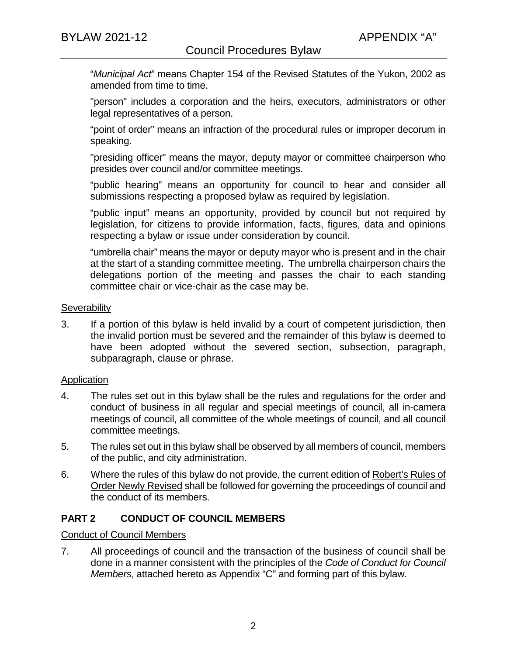"*Municipal Act*" means Chapter 154 of the Revised Statutes of the Yukon, 2002 as amended from time to time.

"person" includes a corporation and the heirs, executors, administrators or other legal representatives of a person.

"point of order" means an infraction of the procedural rules or improper decorum in speaking.

"presiding officer" means the mayor, deputy mayor or committee chairperson who presides over council and/or committee meetings.

"public hearing" means an opportunity for council to hear and consider all submissions respecting a proposed bylaw as required by legislation.

"public input" means an opportunity, provided by council but not required by legislation, for citizens to provide information, facts, figures, data and opinions respecting a bylaw or issue under consideration by council.

"umbrella chair" means the mayor or deputy mayor who is present and in the chair at the start of a standing committee meeting. The umbrella chairperson chairs the delegations portion of the meeting and passes the chair to each standing committee chair or vice-chair as the case may be.

#### **Severability**

3. If a portion of this bylaw is held invalid by a court of competent jurisdiction, then the invalid portion must be severed and the remainder of this bylaw is deemed to have been adopted without the severed section, subsection, paragraph, subparagraph, clause or phrase.

#### **Application**

- 4. The rules set out in this bylaw shall be the rules and regulations for the order and conduct of business in all regular and special meetings of council, all in-camera meetings of council, all committee of the whole meetings of council, and all council committee meetings.
- 5. The rules set out in this bylaw shall be observed by all members of council, members of the public, and city administration.
- 6. Where the rules of this bylaw do not provide, the current edition of Robert's Rules of Order Newly Revised shall be followed for governing the proceedings of council and the conduct of its members.

## **PART 2 CONDUCT OF COUNCIL MEMBERS**

#### Conduct of Council Members

7. All proceedings of council and the transaction of the business of council shall be done in a manner consistent with the principles of the *Code of Conduct for Council Members*, attached hereto as Appendix "C" and forming part of this bylaw.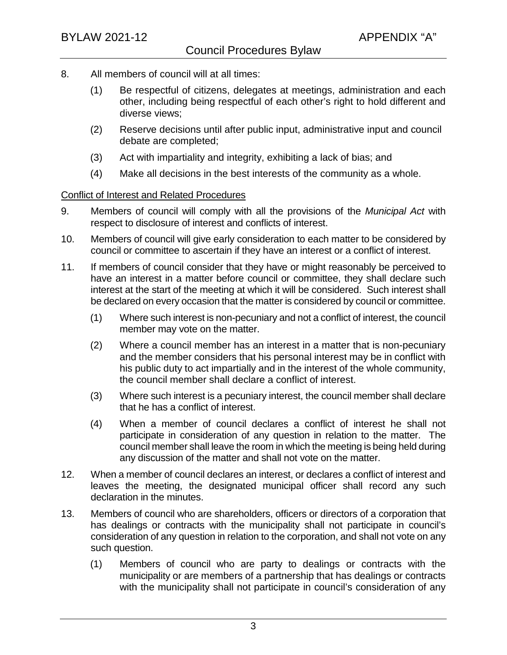- 8. All members of council will at all times:
	- (1) Be respectful of citizens, delegates at meetings, administration and each other, including being respectful of each other's right to hold different and diverse views;
	- (2) Reserve decisions until after public input, administrative input and council debate are completed;
	- (3) Act with impartiality and integrity, exhibiting a lack of bias; and
	- (4) Make all decisions in the best interests of the community as a whole.

### Conflict of Interest and Related Procedures

- 9. Members of council will comply with all the provisions of the *Municipal Act* with respect to disclosure of interest and conflicts of interest.
- 10. Members of council will give early consideration to each matter to be considered by council or committee to ascertain if they have an interest or a conflict of interest.
- 11. If members of council consider that they have or might reasonably be perceived to have an interest in a matter before council or committee, they shall declare such interest at the start of the meeting at which it will be considered. Such interest shall be declared on every occasion that the matter is considered by council or committee.
	- (1) Where such interest is non-pecuniary and not a conflict of interest, the council member may vote on the matter.
	- (2) Where a council member has an interest in a matter that is non-pecuniary and the member considers that his personal interest may be in conflict with his public duty to act impartially and in the interest of the whole community, the council member shall declare a conflict of interest.
	- (3) Where such interest is a pecuniary interest, the council member shall declare that he has a conflict of interest.
	- (4) When a member of council declares a conflict of interest he shall not participate in consideration of any question in relation to the matter. The council member shall leave the room in which the meeting is being held during any discussion of the matter and shall not vote on the matter.
- 12. When a member of council declares an interest, or declares a conflict of interest and leaves the meeting, the designated municipal officer shall record any such declaration in the minutes.
- 13. Members of council who are shareholders, officers or directors of a corporation that has dealings or contracts with the municipality shall not participate in council's consideration of any question in relation to the corporation, and shall not vote on any such question.
	- (1) Members of council who are party to dealings or contracts with the municipality or are members of a partnership that has dealings or contracts with the municipality shall not participate in council's consideration of any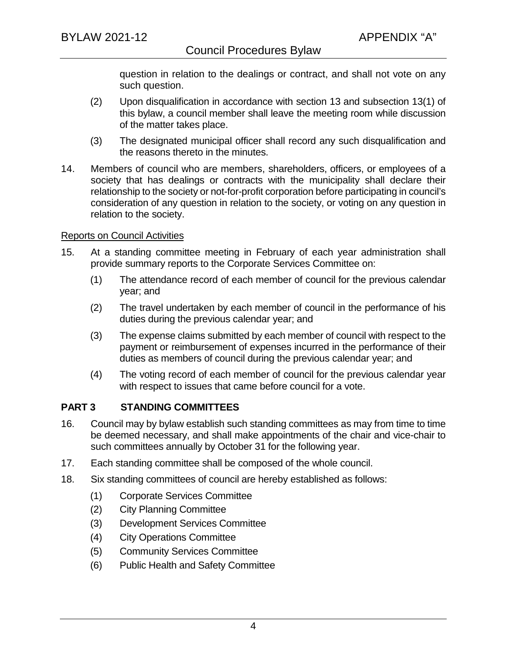question in relation to the dealings or contract, and shall not vote on any such question.

- (2) Upon disqualification in accordance with section 13 and subsection 13(1) of this bylaw, a council member shall leave the meeting room while discussion of the matter takes place.
- (3) The designated municipal officer shall record any such disqualification and the reasons thereto in the minutes.
- 14. Members of council who are members, shareholders, officers, or employees of a society that has dealings or contracts with the municipality shall declare their relationship to the society or not-for-profit corporation before participating in council's consideration of any question in relation to the society, or voting on any question in relation to the society.

#### Reports on Council Activities

- 15. At a standing committee meeting in February of each year administration shall provide summary reports to the Corporate Services Committee on:
	- (1) The attendance record of each member of council for the previous calendar year; and
	- (2) The travel undertaken by each member of council in the performance of his duties during the previous calendar year; and
	- (3) The expense claims submitted by each member of council with respect to the payment or reimbursement of expenses incurred in the performance of their duties as members of council during the previous calendar year; and
	- (4) The voting record of each member of council for the previous calendar year with respect to issues that came before council for a vote.

## **PART 3 STANDING COMMITTEES**

- 16. Council may by bylaw establish such standing committees as may from time to time be deemed necessary, and shall make appointments of the chair and vice-chair to such committees annually by October 31 for the following year.
- 17. Each standing committee shall be composed of the whole council.
- 18. Six standing committees of council are hereby established as follows:
	- (1) Corporate Services Committee
	- (2) City Planning Committee
	- (3) Development Services Committee
	- (4) City Operations Committee
	- (5) Community Services Committee
	- (6) Public Health and Safety Committee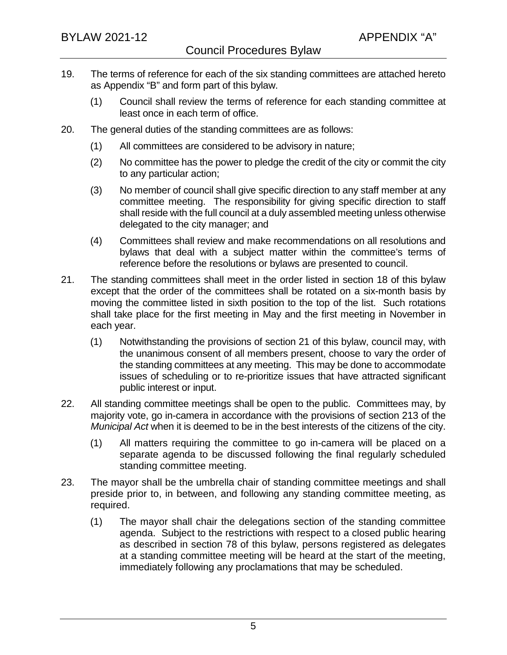- 19. The terms of reference for each of the six standing committees are attached hereto as Appendix "B" and form part of this bylaw.
	- (1) Council shall review the terms of reference for each standing committee at least once in each term of office.
- 20. The general duties of the standing committees are as follows:
	- (1) All committees are considered to be advisory in nature;
	- (2) No committee has the power to pledge the credit of the city or commit the city to any particular action;
	- (3) No member of council shall give specific direction to any staff member at any committee meeting. The responsibility for giving specific direction to staff shall reside with the full council at a duly assembled meeting unless otherwise delegated to the city manager; and
	- (4) Committees shall review and make recommendations on all resolutions and bylaws that deal with a subject matter within the committee's terms of reference before the resolutions or bylaws are presented to council.
- 21. The standing committees shall meet in the order listed in section 18 of this bylaw except that the order of the committees shall be rotated on a six-month basis by moving the committee listed in sixth position to the top of the list. Such rotations shall take place for the first meeting in May and the first meeting in November in each year.
	- (1) Notwithstanding the provisions of section 21 of this bylaw, council may, with the unanimous consent of all members present, choose to vary the order of the standing committees at any meeting. This may be done to accommodate issues of scheduling or to re-prioritize issues that have attracted significant public interest or input.
- 22. All standing committee meetings shall be open to the public. Committees may, by majority vote, go in-camera in accordance with the provisions of section 213 of the *Municipal Act* when it is deemed to be in the best interests of the citizens of the city.
	- (1) All matters requiring the committee to go in-camera will be placed on a separate agenda to be discussed following the final regularly scheduled standing committee meeting.
- 23. The mayor shall be the umbrella chair of standing committee meetings and shall preside prior to, in between, and following any standing committee meeting, as required.
	- (1) The mayor shall chair the delegations section of the standing committee agenda. Subject to the restrictions with respect to a closed public hearing as described in section 78 of this bylaw, persons registered as delegates at a standing committee meeting will be heard at the start of the meeting, immediately following any proclamations that may be scheduled.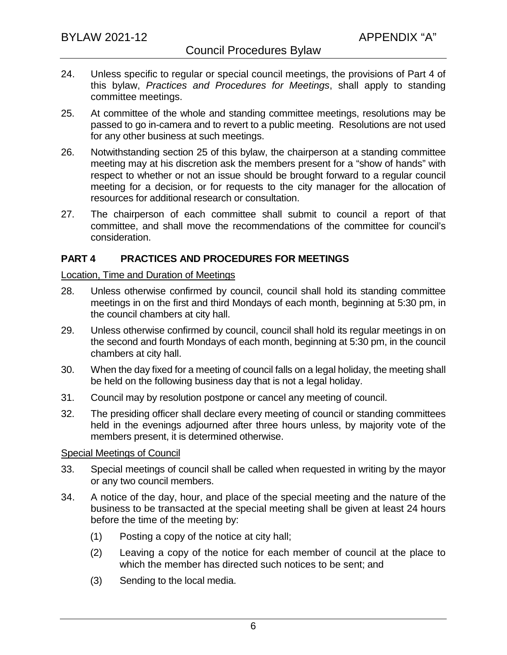- 24. Unless specific to regular or special council meetings, the provisions of Part 4 of this bylaw, *Practices and Procedures for Meetings*, shall apply to standing committee meetings.
- 25. At committee of the whole and standing committee meetings, resolutions may be passed to go in-camera and to revert to a public meeting. Resolutions are not used for any other business at such meetings.
- 26. Notwithstanding section 25 of this bylaw, the chairperson at a standing committee meeting may at his discretion ask the members present for a "show of hands" with respect to whether or not an issue should be brought forward to a regular council meeting for a decision, or for requests to the city manager for the allocation of resources for additional research or consultation.
- 27. The chairperson of each committee shall submit to council a report of that committee, and shall move the recommendations of the committee for council's consideration.

## **PART 4 PRACTICES AND PROCEDURES FOR MEETINGS**

#### Location, Time and Duration of Meetings

- 28. Unless otherwise confirmed by council, council shall hold its standing committee meetings in on the first and third Mondays of each month, beginning at 5:30 pm, in the council chambers at city hall.
- 29. Unless otherwise confirmed by council, council shall hold its regular meetings in on the second and fourth Mondays of each month, beginning at 5:30 pm, in the council chambers at city hall.
- 30. When the day fixed for a meeting of council falls on a legal holiday, the meeting shall be held on the following business day that is not a legal holiday.
- 31. Council may by resolution postpone or cancel any meeting of council.
- 32. The presiding officer shall declare every meeting of council or standing committees held in the evenings adjourned after three hours unless, by majority vote of the members present, it is determined otherwise.

#### Special Meetings of Council

- 33. Special meetings of council shall be called when requested in writing by the mayor or any two council members.
- 34. A notice of the day, hour, and place of the special meeting and the nature of the business to be transacted at the special meeting shall be given at least 24 hours before the time of the meeting by:
	- (1) Posting a copy of the notice at city hall;
	- (2) Leaving a copy of the notice for each member of council at the place to which the member has directed such notices to be sent; and
	- (3) Sending to the local media.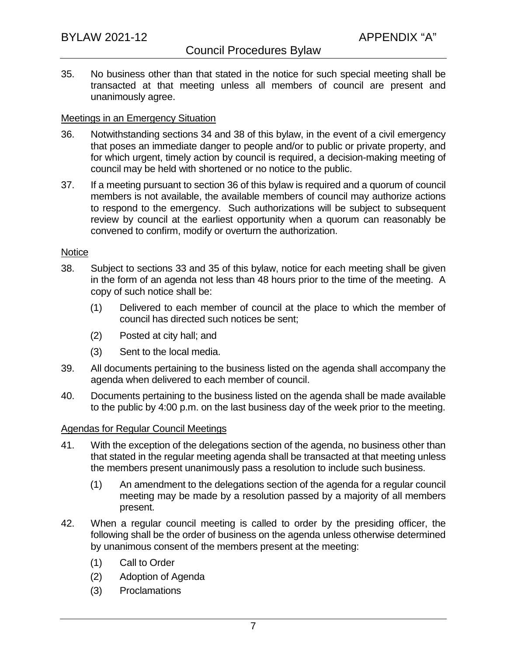35. No business other than that stated in the notice for such special meeting shall be transacted at that meeting unless all members of council are present and unanimously agree.

#### Meetings in an Emergency Situation

- 36. Notwithstanding sections 34 and 38 of this bylaw, in the event of a civil emergency that poses an immediate danger to people and/or to public or private property, and for which urgent, timely action by council is required, a decision-making meeting of council may be held with shortened or no notice to the public.
- 37. If a meeting pursuant to section 36 of this bylaw is required and a quorum of council members is not available, the available members of council may authorize actions to respond to the emergency. Such authorizations will be subject to subsequent review by council at the earliest opportunity when a quorum can reasonably be convened to confirm, modify or overturn the authorization.

#### **Notice**

- 38. Subject to sections 33 and 35 of this bylaw, notice for each meeting shall be given in the form of an agenda not less than 48 hours prior to the time of the meeting. A copy of such notice shall be:
	- (1) Delivered to each member of council at the place to which the member of council has directed such notices be sent;
	- (2) Posted at city hall; and
	- (3) Sent to the local media.
- 39. All documents pertaining to the business listed on the agenda shall accompany the agenda when delivered to each member of council.
- 40. Documents pertaining to the business listed on the agenda shall be made available to the public by 4:00 p.m. on the last business day of the week prior to the meeting.

#### Agendas for Regular Council Meetings

- 41. With the exception of the delegations section of the agenda, no business other than that stated in the regular meeting agenda shall be transacted at that meeting unless the members present unanimously pass a resolution to include such business.
	- (1) An amendment to the delegations section of the agenda for a regular council meeting may be made by a resolution passed by a majority of all members present.
- 42. When a regular council meeting is called to order by the presiding officer, the following shall be the order of business on the agenda unless otherwise determined by unanimous consent of the members present at the meeting:
	- (1) Call to Order
	- (2) Adoption of Agenda
	- (3) Proclamations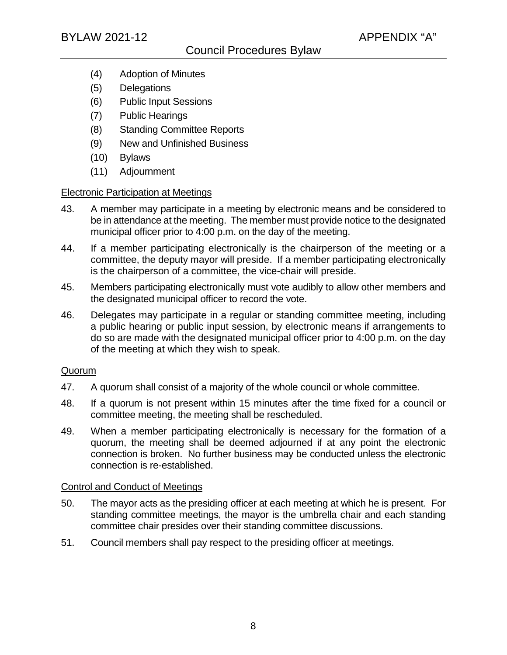- (4) Adoption of Minutes
- (5) Delegations
- (6) Public Input Sessions
- (7) Public Hearings
- (8) Standing Committee Reports
- (9) New and Unfinished Business
- (10) Bylaws
- (11) Adjournment

#### Electronic Participation at Meetings

- 43. A member may participate in a meeting by electronic means and be considered to be in attendance at the meeting. The member must provide notice to the designated municipal officer prior to 4:00 p.m. on the day of the meeting.
- 44. If a member participating electronically is the chairperson of the meeting or a committee, the deputy mayor will preside. If a member participating electronically is the chairperson of a committee, the vice-chair will preside.
- 45. Members participating electronically must vote audibly to allow other members and the designated municipal officer to record the vote.
- 46. Delegates may participate in a regular or standing committee meeting, including a public hearing or public input session, by electronic means if arrangements to do so are made with the designated municipal officer prior to 4:00 p.m. on the day of the meeting at which they wish to speak.

#### Quorum

- 47. A quorum shall consist of a majority of the whole council or whole committee.
- 48. If a quorum is not present within 15 minutes after the time fixed for a council or committee meeting, the meeting shall be rescheduled.
- 49. When a member participating electronically is necessary for the formation of a quorum, the meeting shall be deemed adjourned if at any point the electronic connection is broken. No further business may be conducted unless the electronic connection is re-established.

#### Control and Conduct of Meetings

- 50. The mayor acts as the presiding officer at each meeting at which he is present. For standing committee meetings, the mayor is the umbrella chair and each standing committee chair presides over their standing committee discussions.
- 51. Council members shall pay respect to the presiding officer at meetings.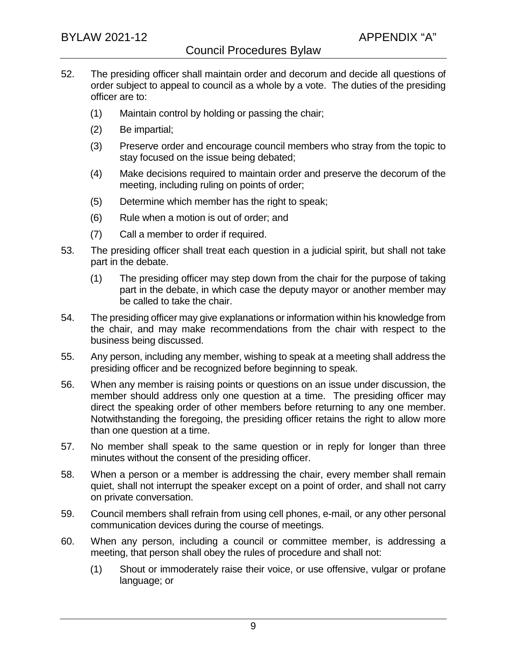- 52. The presiding officer shall maintain order and decorum and decide all questions of order subject to appeal to council as a whole by a vote. The duties of the presiding officer are to:
	- (1) Maintain control by holding or passing the chair;
	- (2) Be impartial;
	- (3) Preserve order and encourage council members who stray from the topic to stay focused on the issue being debated;
	- (4) Make decisions required to maintain order and preserve the decorum of the meeting, including ruling on points of order;
	- (5) Determine which member has the right to speak;
	- (6) Rule when a motion is out of order; and
	- (7) Call a member to order if required.
- 53. The presiding officer shall treat each question in a judicial spirit, but shall not take part in the debate.
	- (1) The presiding officer may step down from the chair for the purpose of taking part in the debate, in which case the deputy mayor or another member may be called to take the chair.
- 54. The presiding officer may give explanations or information within his knowledge from the chair, and may make recommendations from the chair with respect to the business being discussed.
- 55. Any person, including any member, wishing to speak at a meeting shall address the presiding officer and be recognized before beginning to speak.
- 56. When any member is raising points or questions on an issue under discussion, the member should address only one question at a time. The presiding officer may direct the speaking order of other members before returning to any one member. Notwithstanding the foregoing, the presiding officer retains the right to allow more than one question at a time.
- 57. No member shall speak to the same question or in reply for longer than three minutes without the consent of the presiding officer.
- 58. When a person or a member is addressing the chair, every member shall remain quiet, shall not interrupt the speaker except on a point of order, and shall not carry on private conversation.
- 59. Council members shall refrain from using cell phones, e-mail, or any other personal communication devices during the course of meetings.
- 60. When any person, including a council or committee member, is addressing a meeting, that person shall obey the rules of procedure and shall not:
	- (1) Shout or immoderately raise their voice, or use offensive, vulgar or profane language; or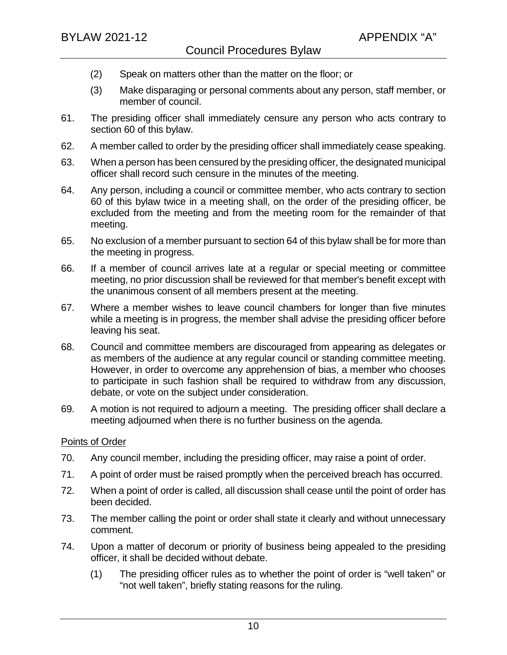- (2) Speak on matters other than the matter on the floor; or
- (3) Make disparaging or personal comments about any person, staff member, or member of council.
- 61. The presiding officer shall immediately censure any person who acts contrary to section 60 of this bylaw.
- 62. A member called to order by the presiding officer shall immediately cease speaking.
- 63. When a person has been censured by the presiding officer, the designated municipal officer shall record such censure in the minutes of the meeting.
- 64. Any person, including a council or committee member, who acts contrary to section 60 of this bylaw twice in a meeting shall, on the order of the presiding officer, be excluded from the meeting and from the meeting room for the remainder of that meeting.
- 65. No exclusion of a member pursuant to section 64 of this bylaw shall be for more than the meeting in progress.
- 66. If a member of council arrives late at a regular or special meeting or committee meeting, no prior discussion shall be reviewed for that member's benefit except with the unanimous consent of all members present at the meeting.
- 67. Where a member wishes to leave council chambers for longer than five minutes while a meeting is in progress, the member shall advise the presiding officer before leaving his seat.
- 68. Council and committee members are discouraged from appearing as delegates or as members of the audience at any regular council or standing committee meeting. However, in order to overcome any apprehension of bias, a member who chooses to participate in such fashion shall be required to withdraw from any discussion, debate, or vote on the subject under consideration.
- 69. A motion is not required to adjourn a meeting. The presiding officer shall declare a meeting adjourned when there is no further business on the agenda.

## Points of Order

- 70. Any council member, including the presiding officer, may raise a point of order.
- 71. A point of order must be raised promptly when the perceived breach has occurred.
- 72. When a point of order is called, all discussion shall cease until the point of order has been decided.
- 73. The member calling the point or order shall state it clearly and without unnecessary comment.
- 74. Upon a matter of decorum or priority of business being appealed to the presiding officer, it shall be decided without debate.
	- (1) The presiding officer rules as to whether the point of order is "well taken" or "not well taken", briefly stating reasons for the ruling.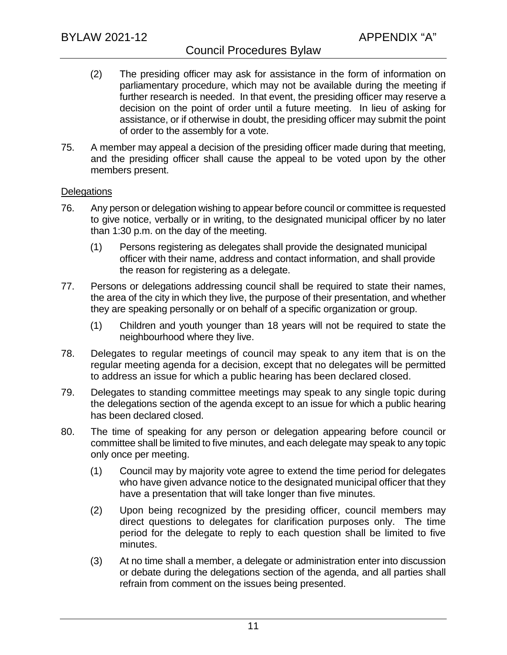## Council Procedures Bylaw

- (2) The presiding officer may ask for assistance in the form of information on parliamentary procedure, which may not be available during the meeting if further research is needed. In that event, the presiding officer may reserve a decision on the point of order until a future meeting. In lieu of asking for assistance, or if otherwise in doubt, the presiding officer may submit the point of order to the assembly for a vote.
- 75. A member may appeal a decision of the presiding officer made during that meeting, and the presiding officer shall cause the appeal to be voted upon by the other members present.

### **Delegations**

- 76. Any person or delegation wishing to appear before council or committee is requested to give notice, verbally or in writing, to the designated municipal officer by no later than 1:30 p.m. on the day of the meeting.
	- (1) Persons registering as delegates shall provide the designated municipal officer with their name, address and contact information, and shall provide the reason for registering as a delegate.
- 77. Persons or delegations addressing council shall be required to state their names, the area of the city in which they live, the purpose of their presentation, and whether they are speaking personally or on behalf of a specific organization or group.
	- (1) Children and youth younger than 18 years will not be required to state the neighbourhood where they live.
- 78. Delegates to regular meetings of council may speak to any item that is on the regular meeting agenda for a decision, except that no delegates will be permitted to address an issue for which a public hearing has been declared closed.
- 79. Delegates to standing committee meetings may speak to any single topic during the delegations section of the agenda except to an issue for which a public hearing has been declared closed.
- 80. The time of speaking for any person or delegation appearing before council or committee shall be limited to five minutes, and each delegate may speak to any topic only once per meeting.
	- (1) Council may by majority vote agree to extend the time period for delegates who have given advance notice to the designated municipal officer that they have a presentation that will take longer than five minutes.
	- (2) Upon being recognized by the presiding officer, council members may direct questions to delegates for clarification purposes only. The time period for the delegate to reply to each question shall be limited to five minutes.
	- (3) At no time shall a member, a delegate or administration enter into discussion or debate during the delegations section of the agenda, and all parties shall refrain from comment on the issues being presented.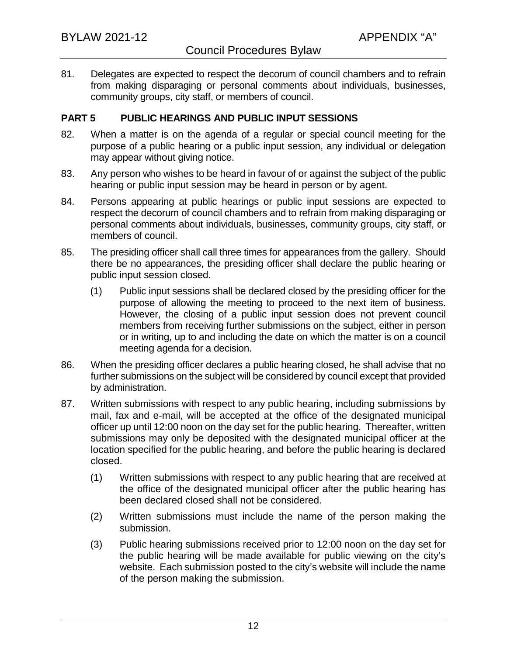81. Delegates are expected to respect the decorum of council chambers and to refrain from making disparaging or personal comments about individuals, businesses, community groups, city staff, or members of council.

### **PART 5 PUBLIC HEARINGS AND PUBLIC INPUT SESSIONS**

- 82. When a matter is on the agenda of a regular or special council meeting for the purpose of a public hearing or a public input session, any individual or delegation may appear without giving notice.
- 83. Any person who wishes to be heard in favour of or against the subject of the public hearing or public input session may be heard in person or by agent.
- 84. Persons appearing at public hearings or public input sessions are expected to respect the decorum of council chambers and to refrain from making disparaging or personal comments about individuals, businesses, community groups, city staff, or members of council.
- 85. The presiding officer shall call three times for appearances from the gallery. Should there be no appearances, the presiding officer shall declare the public hearing or public input session closed.
	- (1) Public input sessions shall be declared closed by the presiding officer for the purpose of allowing the meeting to proceed to the next item of business. However, the closing of a public input session does not prevent council members from receiving further submissions on the subject, either in person or in writing, up to and including the date on which the matter is on a council meeting agenda for a decision.
- 86. When the presiding officer declares a public hearing closed, he shall advise that no further submissions on the subject will be considered by council except that provided by administration.
- 87. Written submissions with respect to any public hearing, including submissions by mail, fax and e-mail, will be accepted at the office of the designated municipal officer up until 12:00 noon on the day set for the public hearing. Thereafter, written submissions may only be deposited with the designated municipal officer at the location specified for the public hearing, and before the public hearing is declared closed.
	- (1) Written submissions with respect to any public hearing that are received at the office of the designated municipal officer after the public hearing has been declared closed shall not be considered.
	- (2) Written submissions must include the name of the person making the submission.
	- (3) Public hearing submissions received prior to 12:00 noon on the day set for the public hearing will be made available for public viewing on the city's website. Each submission posted to the city's website will include the name of the person making the submission.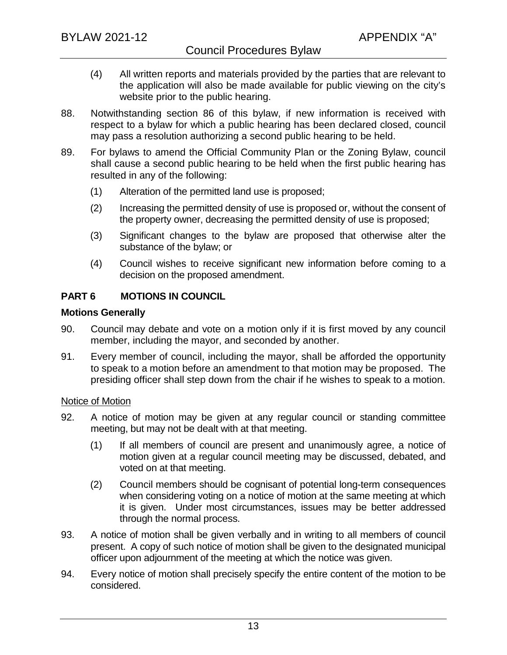- (4) All written reports and materials provided by the parties that are relevant to the application will also be made available for public viewing on the city's website prior to the public hearing.
- 88. Notwithstanding section 86 of this bylaw, if new information is received with respect to a bylaw for which a public hearing has been declared closed, council may pass a resolution authorizing a second public hearing to be held.
- 89. For bylaws to amend the Official Community Plan or the Zoning Bylaw, council shall cause a second public hearing to be held when the first public hearing has resulted in any of the following:
	- (1) Alteration of the permitted land use is proposed;
	- (2) Increasing the permitted density of use is proposed or, without the consent of the property owner, decreasing the permitted density of use is proposed;
	- (3) Significant changes to the bylaw are proposed that otherwise alter the substance of the bylaw; or
	- (4) Council wishes to receive significant new information before coming to a decision on the proposed amendment.

## **PART 6 MOTIONS IN COUNCIL**

### **Motions Generally**

- 90. Council may debate and vote on a motion only if it is first moved by any council member, including the mayor, and seconded by another.
- 91. Every member of council, including the mayor, shall be afforded the opportunity to speak to a motion before an amendment to that motion may be proposed. The presiding officer shall step down from the chair if he wishes to speak to a motion.

#### Notice of Motion

- 92. A notice of motion may be given at any regular council or standing committee meeting, but may not be dealt with at that meeting.
	- (1) If all members of council are present and unanimously agree, a notice of motion given at a regular council meeting may be discussed, debated, and voted on at that meeting.
	- (2) Council members should be cognisant of potential long-term consequences when considering voting on a notice of motion at the same meeting at which it is given. Under most circumstances, issues may be better addressed through the normal process.
- 93. A notice of motion shall be given verbally and in writing to all members of council present. A copy of such notice of motion shall be given to the designated municipal officer upon adjournment of the meeting at which the notice was given.
- 94. Every notice of motion shall precisely specify the entire content of the motion to be considered.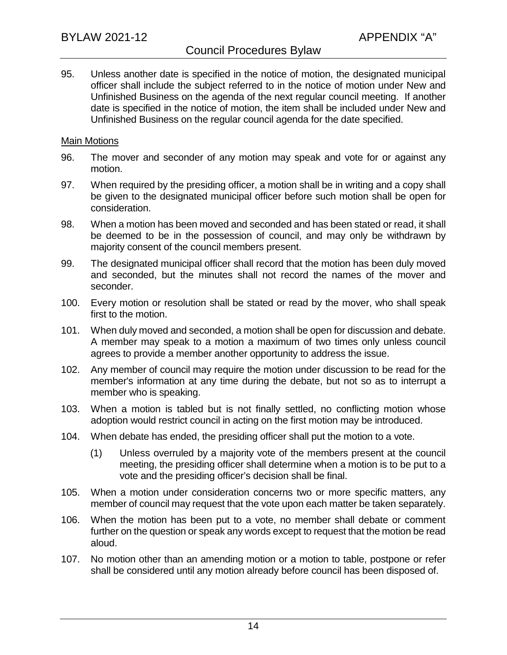95. Unless another date is specified in the notice of motion, the designated municipal officer shall include the subject referred to in the notice of motion under New and Unfinished Business on the agenda of the next regular council meeting. If another date is specified in the notice of motion, the item shall be included under New and Unfinished Business on the regular council agenda for the date specified.

#### Main Motions

- 96. The mover and seconder of any motion may speak and vote for or against any motion.
- 97. When required by the presiding officer, a motion shall be in writing and a copy shall be given to the designated municipal officer before such motion shall be open for consideration.
- 98. When a motion has been moved and seconded and has been stated or read, it shall be deemed to be in the possession of council, and may only be withdrawn by majority consent of the council members present.
- 99. The designated municipal officer shall record that the motion has been duly moved and seconded, but the minutes shall not record the names of the mover and seconder.
- 100. Every motion or resolution shall be stated or read by the mover, who shall speak first to the motion.
- 101. When duly moved and seconded, a motion shall be open for discussion and debate. A member may speak to a motion a maximum of two times only unless council agrees to provide a member another opportunity to address the issue.
- 102. Any member of council may require the motion under discussion to be read for the member's information at any time during the debate, but not so as to interrupt a member who is speaking.
- 103. When a motion is tabled but is not finally settled, no conflicting motion whose adoption would restrict council in acting on the first motion may be introduced.
- 104. When debate has ended, the presiding officer shall put the motion to a vote.
	- (1) Unless overruled by a majority vote of the members present at the council meeting, the presiding officer shall determine when a motion is to be put to a vote and the presiding officer's decision shall be final.
- 105. When a motion under consideration concerns two or more specific matters, any member of council may request that the vote upon each matter be taken separately.
- 106. When the motion has been put to a vote, no member shall debate or comment further on the question or speak any words except to request that the motion be read aloud.
- 107. No motion other than an amending motion or a motion to table, postpone or refer shall be considered until any motion already before council has been disposed of.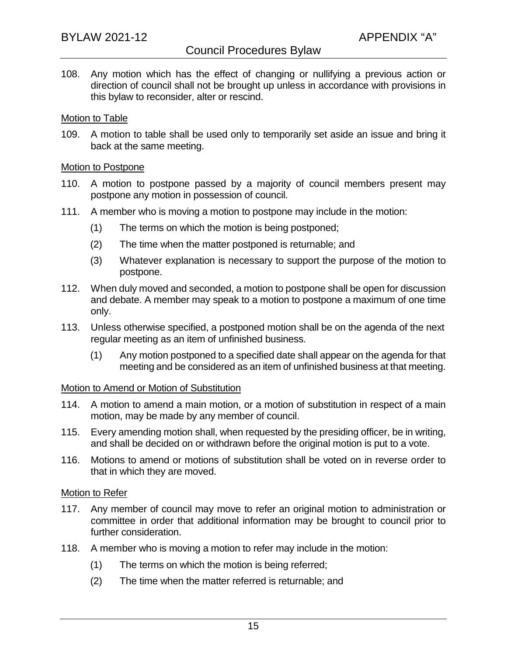108. Any motion which has the effect of changing or nullifying a previous action or direction of council shall not be brought up unless in accordance with provisions in this bylaw to reconsider, alter or rescind.

#### Motion to Table

109. A motion to table shall be used only to temporarily set aside an issue and bring it back at the same meeting.

#### Motion to Postpone

- 110. A motion to postpone passed by a majority of council members present may postpone any motion in possession of council.
- 111. A member who is moving a motion to postpone may include in the motion:
	- (1) The terms on which the motion is being postponed;
	- (2) The time when the matter postponed is returnable; and
	- (3) Whatever explanation is necessary to support the purpose of the motion to postpone.
- 112. When duly moved and seconded, a motion to postpone shall be open for discussion and debate. A member may speak to a motion to postpone a maximum of one time only.
- 113. Unless otherwise specified, a postponed motion shall be on the agenda of the next regular meeting as an item of unfinished business.
	- (1) Any motion postponed to a specified date shall appear on the agenda for that meeting and be considered as an item of unfinished business at that meeting.

#### Motion to Amend or Motion of Substitution

- 114. A motion to amend a main motion, or a motion of substitution in respect of a main motion, may be made by any member of council.
- 115. Every amending motion shall, when requested by the presiding officer, be in writing, and shall be decided on or withdrawn before the original motion is put to a vote.
- 116. Motions to amend or motions of substitution shall be voted on in reverse order to that in which they are moved.

#### Motion to Refer

- 117. Any member of council may move to refer an original motion to administration or committee in order that additional information may be brought to council prior to further consideration.
- 118. A member who is moving a motion to refer may include in the motion:
	- (1) The terms on which the motion is being referred;
	- (2) The time when the matter referred is returnable; and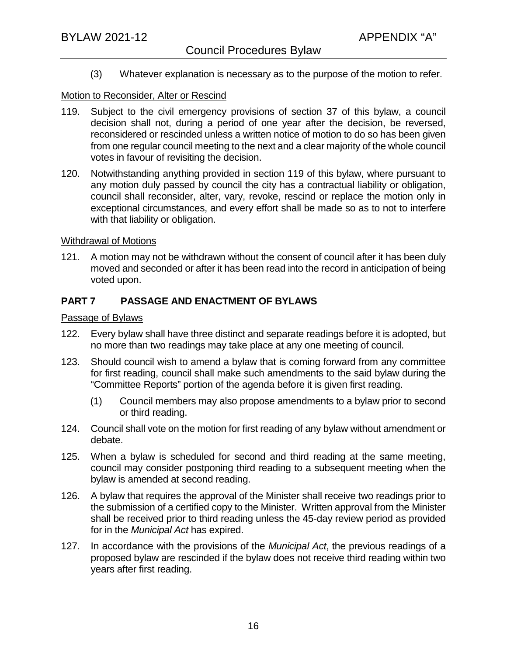(3) Whatever explanation is necessary as to the purpose of the motion to refer.

### Motion to Reconsider, Alter or Rescind

- 119. Subject to the civil emergency provisions of section 37 of this bylaw, a council decision shall not, during a period of one year after the decision, be reversed, reconsidered or rescinded unless a written notice of motion to do so has been given from one regular council meeting to the next and a clear majority of the whole council votes in favour of revisiting the decision.
- 120. Notwithstanding anything provided in section 119 of this bylaw, where pursuant to any motion duly passed by council the city has a contractual liability or obligation, council shall reconsider, alter, vary, revoke, rescind or replace the motion only in exceptional circumstances, and every effort shall be made so as to not to interfere with that liability or obligation.

#### Withdrawal of Motions

121. A motion may not be withdrawn without the consent of council after it has been duly moved and seconded or after it has been read into the record in anticipation of being voted upon.

## **PART 7 PASSAGE AND ENACTMENT OF BYLAWS**

### Passage of Bylaws

- 122. Every bylaw shall have three distinct and separate readings before it is adopted, but no more than two readings may take place at any one meeting of council.
- 123. Should council wish to amend a bylaw that is coming forward from any committee for first reading, council shall make such amendments to the said bylaw during the "Committee Reports" portion of the agenda before it is given first reading.
	- (1) Council members may also propose amendments to a bylaw prior to second or third reading.
- 124. Council shall vote on the motion for first reading of any bylaw without amendment or debate.
- 125. When a bylaw is scheduled for second and third reading at the same meeting, council may consider postponing third reading to a subsequent meeting when the bylaw is amended at second reading.
- 126. A bylaw that requires the approval of the Minister shall receive two readings prior to the submission of a certified copy to the Minister. Written approval from the Minister shall be received prior to third reading unless the 45-day review period as provided for in the *Municipal Act* has expired.
- 127. In accordance with the provisions of the *Municipal Act*, the previous readings of a proposed bylaw are rescinded if the bylaw does not receive third reading within two years after first reading.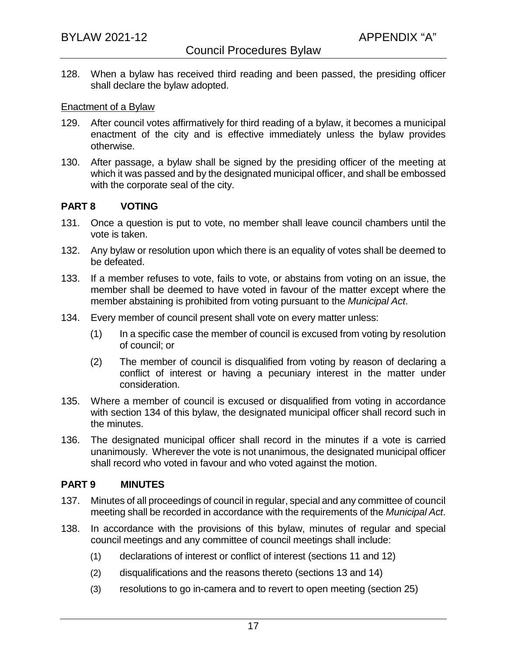128. When a bylaw has received third reading and been passed, the presiding officer shall declare the bylaw adopted.

#### Enactment of a Bylaw

- 129. After council votes affirmatively for third reading of a bylaw, it becomes a municipal enactment of the city and is effective immediately unless the bylaw provides otherwise.
- 130. After passage, a bylaw shall be signed by the presiding officer of the meeting at which it was passed and by the designated municipal officer, and shall be embossed with the corporate seal of the city.

### **PART 8 VOTING**

- 131. Once a question is put to vote, no member shall leave council chambers until the vote is taken.
- 132. Any bylaw or resolution upon which there is an equality of votes shall be deemed to be defeated.
- 133. If a member refuses to vote, fails to vote, or abstains from voting on an issue, the member shall be deemed to have voted in favour of the matter except where the member abstaining is prohibited from voting pursuant to the *Municipal Act*.
- 134. Every member of council present shall vote on every matter unless:
	- (1) In a specific case the member of council is excused from voting by resolution of council; or
	- (2) The member of council is disqualified from voting by reason of declaring a conflict of interest or having a pecuniary interest in the matter under consideration.
- 135. Where a member of council is excused or disqualified from voting in accordance with section 134 of this bylaw, the designated municipal officer shall record such in the minutes.
- 136. The designated municipal officer shall record in the minutes if a vote is carried unanimously. Wherever the vote is not unanimous, the designated municipal officer shall record who voted in favour and who voted against the motion.

#### **PART 9 MINUTES**

- 137. Minutes of all proceedings of council in regular, special and any committee of council meeting shall be recorded in accordance with the requirements of the *Municipal Act*.
- 138. In accordance with the provisions of this bylaw, minutes of regular and special council meetings and any committee of council meetings shall include:
	- (1) declarations of interest or conflict of interest (sections 11 and 12)
	- (2) disqualifications and the reasons thereto (sections 13 and 14)
	- (3) resolutions to go in-camera and to revert to open meeting (section 25)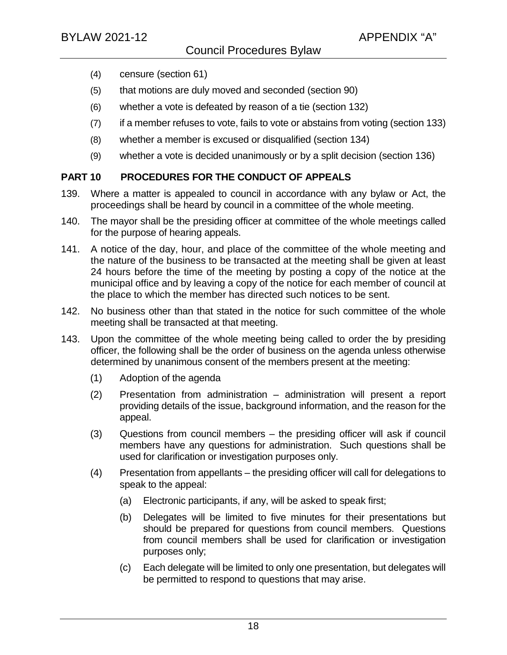- (4) censure (section 61)
- (5) that motions are duly moved and seconded (section 90)
- (6) whether a vote is defeated by reason of a tie (section 132)
- (7) if a member refuses to vote, fails to vote or abstains from voting (section 133)
- (8) whether a member is excused or disqualified (section 134)
- (9) whether a vote is decided unanimously or by a split decision (section 136)

## **PART 10 PROCEDURES FOR THE CONDUCT OF APPEALS**

- 139. Where a matter is appealed to council in accordance with any bylaw or Act, the proceedings shall be heard by council in a committee of the whole meeting.
- 140. The mayor shall be the presiding officer at committee of the whole meetings called for the purpose of hearing appeals.
- 141. A notice of the day, hour, and place of the committee of the whole meeting and the nature of the business to be transacted at the meeting shall be given at least 24 hours before the time of the meeting by posting a copy of the notice at the municipal office and by leaving a copy of the notice for each member of council at the place to which the member has directed such notices to be sent.
- 142. No business other than that stated in the notice for such committee of the whole meeting shall be transacted at that meeting.
- 143. Upon the committee of the whole meeting being called to order the by presiding officer, the following shall be the order of business on the agenda unless otherwise determined by unanimous consent of the members present at the meeting:
	- (1) Adoption of the agenda
	- (2) Presentation from administration administration will present a report providing details of the issue, background information, and the reason for the appeal.
	- (3) Questions from council members the presiding officer will ask if council members have any questions for administration. Such questions shall be used for clarification or investigation purposes only.
	- (4) Presentation from appellants the presiding officer will call for delegations to speak to the appeal:
		- (a) Electronic participants, if any, will be asked to speak first;
		- (b) Delegates will be limited to five minutes for their presentations but should be prepared for questions from council members. Questions from council members shall be used for clarification or investigation purposes only;
		- (c) Each delegate will be limited to only one presentation, but delegates will be permitted to respond to questions that may arise.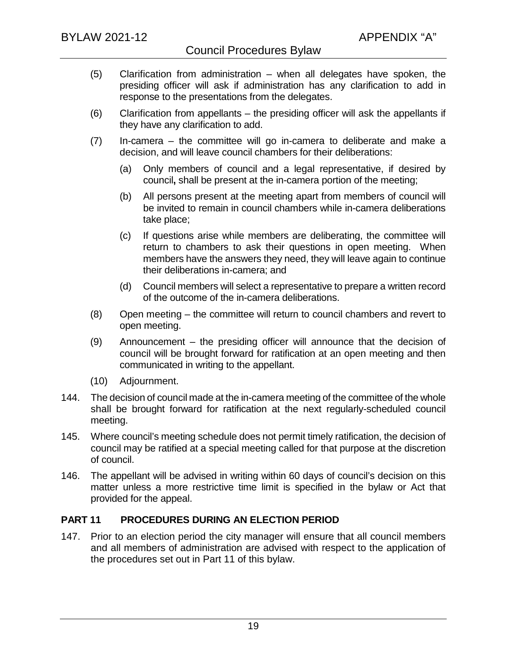- (5) Clarification from administration when all delegates have spoken, the presiding officer will ask if administration has any clarification to add in response to the presentations from the delegates.
- (6) Clarification from appellants the presiding officer will ask the appellants if they have any clarification to add.
- (7) In-camera the committee will go in-camera to deliberate and make a decision, and will leave council chambers for their deliberations:
	- (a) Only members of council and a legal representative, if desired by council**,** shall be present at the in-camera portion of the meeting;
	- (b) All persons present at the meeting apart from members of council will be invited to remain in council chambers while in-camera deliberations take place;
	- (c) If questions arise while members are deliberating, the committee will return to chambers to ask their questions in open meeting. When members have the answers they need, they will leave again to continue their deliberations in-camera; and
	- (d) Council members will select a representative to prepare a written record of the outcome of the in-camera deliberations.
- (8) Open meeting the committee will return to council chambers and revert to open meeting.
- (9) Announcement the presiding officer will announce that the decision of council will be brought forward for ratification at an open meeting and then communicated in writing to the appellant.
- (10) Adjournment.
- 144. The decision of council made at the in-camera meeting of the committee of the whole shall be brought forward for ratification at the next regularly-scheduled council meeting.
- 145. Where council's meeting schedule does not permit timely ratification, the decision of council may be ratified at a special meeting called for that purpose at the discretion of council.
- 146. The appellant will be advised in writing within 60 days of council's decision on this matter unless a more restrictive time limit is specified in the bylaw or Act that provided for the appeal.

## **PART 11 PROCEDURES DURING AN ELECTION PERIOD**

147. Prior to an election period the city manager will ensure that all council members and all members of administration are advised with respect to the application of the procedures set out in Part 11 of this bylaw.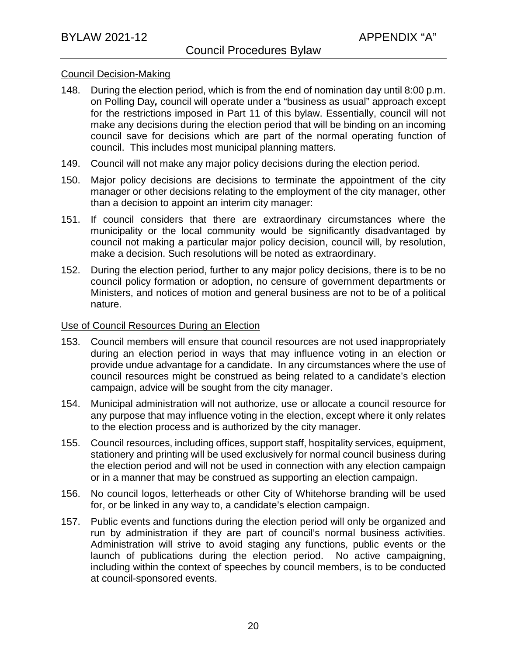#### Council Decision-Making

- 148. During the election period, which is from the end of nomination day until 8:00 p.m. on Polling Day*,* council will operate under a "business as usual" approach except for the restrictions imposed in Part 11 of this bylaw. Essentially, council will not make any decisions during the election period that will be binding on an incoming council save for decisions which are part of the normal operating function of council. This includes most municipal planning matters.
- 149. Council will not make any major policy decisions during the election period.
- 150. Major policy decisions are decisions to terminate the appointment of the city manager or other decisions relating to the employment of the city manager, other than a decision to appoint an interim city manager:
- 151. If council considers that there are extraordinary circumstances where the municipality or the local community would be significantly disadvantaged by council not making a particular major policy decision, council will, by resolution, make a decision. Such resolutions will be noted as extraordinary.
- 152. During the election period, further to any major policy decisions, there is to be no council policy formation or adoption, no censure of government departments or Ministers, and notices of motion and general business are not to be of a political nature.

### Use of Council Resources During an Election

- 153. Council members will ensure that council resources are not used inappropriately during an election period in ways that may influence voting in an election or provide undue advantage for a candidate. In any circumstances where the use of council resources might be construed as being related to a candidate's election campaign, advice will be sought from the city manager.
- 154. Municipal administration will not authorize, use or allocate a council resource for any purpose that may influence voting in the election, except where it only relates to the election process and is authorized by the city manager.
- 155. Council resources, including offices, support staff, hospitality services, equipment, stationery and printing will be used exclusively for normal council business during the election period and will not be used in connection with any election campaign or in a manner that may be construed as supporting an election campaign.
- 156. No council logos, letterheads or other City of Whitehorse branding will be used for, or be linked in any way to, a candidate's election campaign.
- 157. Public events and functions during the election period will only be organized and run by administration if they are part of council's normal business activities. Administration will strive to avoid staging any functions, public events or the launch of publications during the election period. No active campaigning, including within the context of speeches by council members, is to be conducted at council-sponsored events.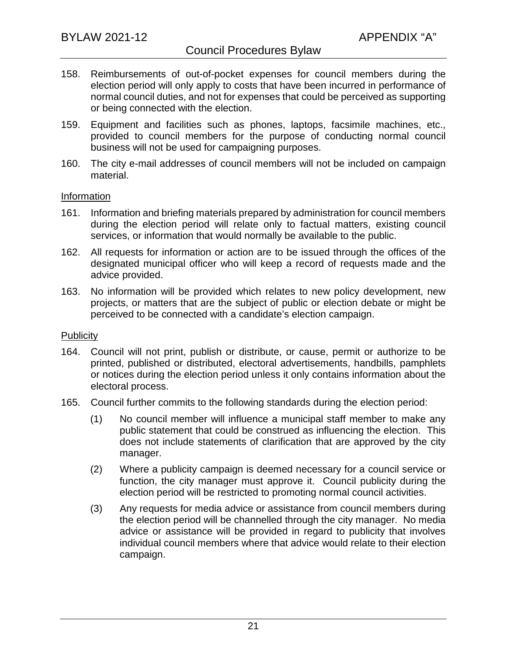- 158. Reimbursements of out-of-pocket expenses for council members during the election period will only apply to costs that have been incurred in performance of normal council duties, and not for expenses that could be perceived as supporting or being connected with the election.
- 159. Equipment and facilities such as phones, laptops, facsimile machines, etc., provided to council members for the purpose of conducting normal council business will not be used for campaigning purposes.
- 160. The city e-mail addresses of council members will not be included on campaign material.

#### Information

- 161. Information and briefing materials prepared by administration for council members during the election period will relate only to factual matters, existing council services, or information that would normally be available to the public.
- 162. All requests for information or action are to be issued through the offices of the designated municipal officer who will keep a record of requests made and the advice provided.
- 163. No information will be provided which relates to new policy development, new projects, or matters that are the subject of public or election debate or might be perceived to be connected with a candidate's election campaign.

#### Publicity

- 164. Council will not print, publish or distribute, or cause, permit or authorize to be printed, published or distributed, electoral advertisements, handbills, pamphlets or notices during the election period unless it only contains information about the electoral process.
- 165. Council further commits to the following standards during the election period:
	- (1) No council member will influence a municipal staff member to make any public statement that could be construed as influencing the election. This does not include statements of clarification that are approved by the city manager.
	- (2) Where a publicity campaign is deemed necessary for a council service or function, the city manager must approve it. Council publicity during the election period will be restricted to promoting normal council activities.
	- (3) Any requests for media advice or assistance from council members during the election period will be channelled through the city manager. No media advice or assistance will be provided in regard to publicity that involves individual council members where that advice would relate to their election campaign.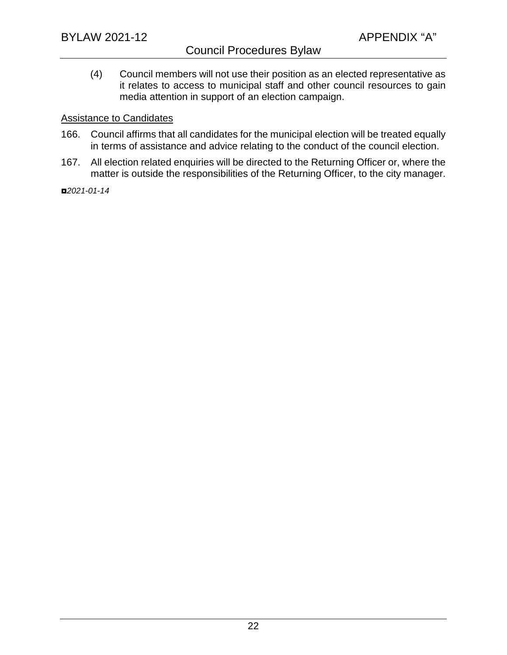## Council Procedures Bylaw

(4) Council members will not use their position as an elected representative as it relates to access to municipal staff and other council resources to gain media attention in support of an election campaign.

#### Assistance to Candidates

- 166. Council affirms that all candidates for the municipal election will be treated equally in terms of assistance and advice relating to the conduct of the council election.
- 167. All election related enquiries will be directed to the Returning Officer or, where the matter is outside the responsibilities of the Returning Officer, to the city manager.

◘*2021-01-14*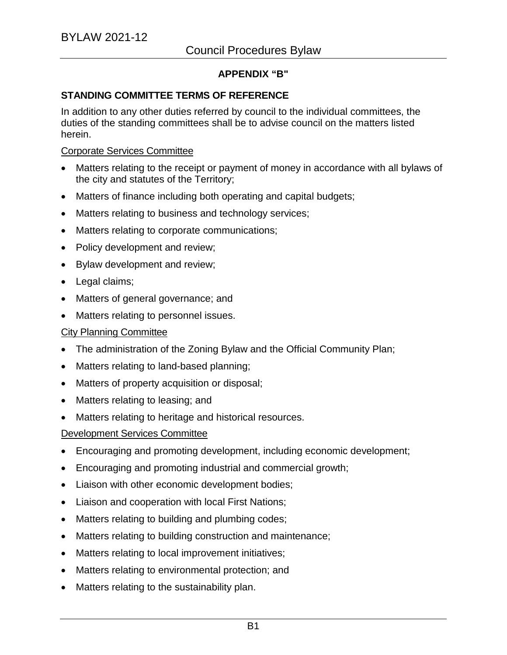## **APPENDIX "B"**

### **STANDING COMMITTEE TERMS OF REFERENCE**

In addition to any other duties referred by council to the individual committees, the duties of the standing committees shall be to advise council on the matters listed herein.

#### Corporate Services Committee

- Matters relating to the receipt or payment of money in accordance with all bylaws of the city and statutes of the Territory;
- Matters of finance including both operating and capital budgets;
- Matters relating to business and technology services;
- Matters relating to corporate communications;
- Policy development and review;
- Bylaw development and review;
- Legal claims;
- Matters of general governance; and
- Matters relating to personnel issues.

#### City Planning Committee

- The administration of the Zoning Bylaw and the Official Community Plan;
- Matters relating to land-based planning;
- Matters of property acquisition or disposal;
- Matters relating to leasing; and
- Matters relating to heritage and historical resources.

#### Development Services Committee

- Encouraging and promoting development, including economic development;
- Encouraging and promoting industrial and commercial growth;
- Liaison with other economic development bodies;
- Liaison and cooperation with local First Nations;
- Matters relating to building and plumbing codes;
- Matters relating to building construction and maintenance;
- Matters relating to local improvement initiatives;
- Matters relating to environmental protection; and
- Matters relating to the sustainability plan.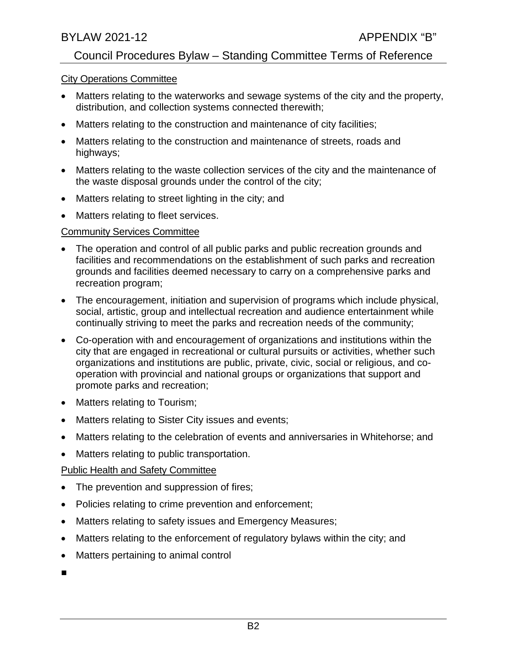## Council Procedures Bylaw – Standing Committee Terms of Reference

### City Operations Committee

- Matters relating to the waterworks and sewage systems of the city and the property, distribution, and collection systems connected therewith;
- Matters relating to the construction and maintenance of city facilities;
- Matters relating to the construction and maintenance of streets, roads and highways;
- Matters relating to the waste collection services of the city and the maintenance of the waste disposal grounds under the control of the city;
- Matters relating to street lighting in the city; and
- Matters relating to fleet services.

## Community Services Committee

- The operation and control of all public parks and public recreation grounds and facilities and recommendations on the establishment of such parks and recreation grounds and facilities deemed necessary to carry on a comprehensive parks and recreation program;
- The encouragement, initiation and supervision of programs which include physical, social, artistic, group and intellectual recreation and audience entertainment while continually striving to meet the parks and recreation needs of the community;
- Co-operation with and encouragement of organizations and institutions within the city that are engaged in recreational or cultural pursuits or activities, whether such organizations and institutions are public, private, civic, social or religious, and cooperation with provincial and national groups or organizations that support and promote parks and recreation;
- Matters relating to Tourism;
- Matters relating to Sister City issues and events;
- Matters relating to the celebration of events and anniversaries in Whitehorse; and
- Matters relating to public transportation.

## Public Health and Safety Committee

- The prevention and suppression of fires;
- Policies relating to crime prevention and enforcement;
- Matters relating to safety issues and Emergency Measures;
- Matters relating to the enforcement of regulatory bylaws within the city; and
- Matters pertaining to animal control
- ■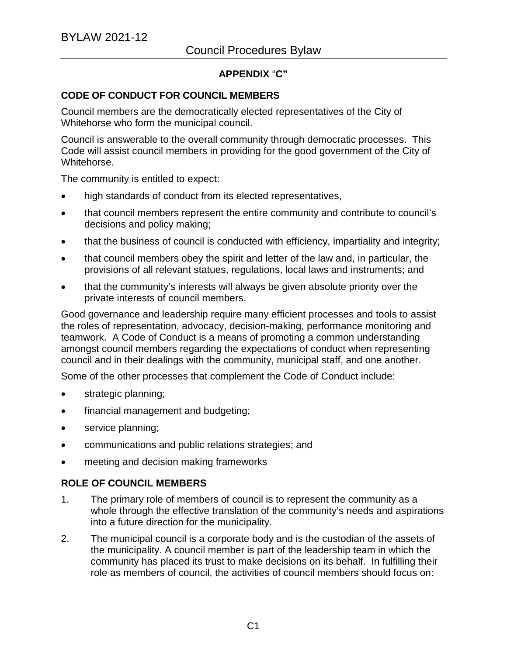## **APPENDIX** "**C"**

### **CODE OF CONDUCT FOR COUNCIL MEMBERS**

Council members are the democratically elected representatives of the City of Whitehorse who form the municipal council.

Council is answerable to the overall community through democratic processes. This Code will assist council members in providing for the good government of the City of Whitehorse.

The community is entitled to expect:

- high standards of conduct from its elected representatives,
- that council members represent the entire community and contribute to council's decisions and policy making;
- that the business of council is conducted with efficiency, impartiality and integrity;
- that council members obey the spirit and letter of the law and, in particular, the provisions of all relevant statues, regulations, local laws and instruments; and
- that the community's interests will always be given absolute priority over the private interests of council members.

Good governance and leadership require many efficient processes and tools to assist the roles of representation, advocacy, decision-making, performance monitoring and teamwork. A Code of Conduct is a means of promoting a common understanding amongst council members regarding the expectations of conduct when representing council and in their dealings with the community, municipal staff, and one another.

Some of the other processes that complement the Code of Conduct include:

- strategic planning;
- financial management and budgeting;
- service planning;
- communications and public relations strategies; and
- meeting and decision making frameworks

## **ROLE OF COUNCIL MEMBERS**

- 1. The primary role of members of council is to represent the community as a whole through the effective translation of the community's needs and aspirations into a future direction for the municipality.
- 2. The municipal council is a corporate body and is the custodian of the assets of the municipality. A council member is part of the leadership team in which the community has placed its trust to make decisions on its behalf. In fulfilling their role as members of council, the activities of council members should focus on: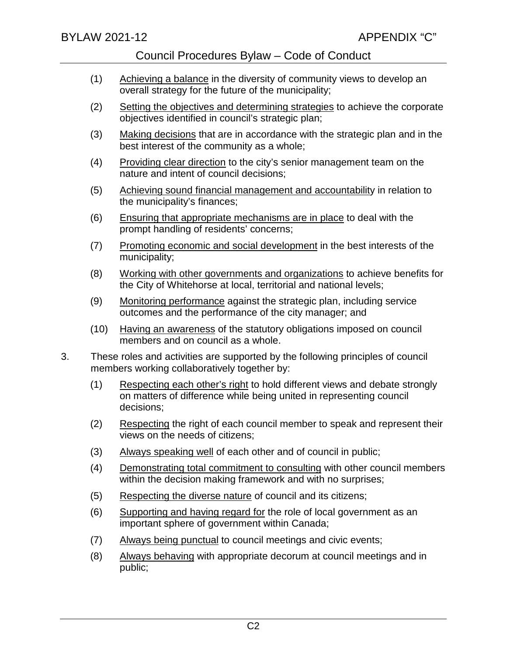- (1) Achieving a balance in the diversity of community views to develop an overall strategy for the future of the municipality;
- (2) Setting the objectives and determining strategies to achieve the corporate objectives identified in council's strategic plan;
- (3) Making decisions that are in accordance with the strategic plan and in the best interest of the community as a whole;
- (4) Providing clear direction to the city's senior management team on the nature and intent of council decisions;
- (5) Achieving sound financial management and accountability in relation to the municipality's finances;
- (6) Ensuring that appropriate mechanisms are in place to deal with the prompt handling of residents' concerns;
- (7) Promoting economic and social development in the best interests of the municipality;
- (8) Working with other governments and organizations to achieve benefits for the City of Whitehorse at local, territorial and national levels;
- (9) Monitoring performance against the strategic plan, including service outcomes and the performance of the city manager; and
- (10) Having an awareness of the statutory obligations imposed on council members and on council as a whole.
- 3. These roles and activities are supported by the following principles of council members working collaboratively together by:
	- (1) Respecting each other's right to hold different views and debate strongly on matters of difference while being united in representing council decisions;
	- (2) Respecting the right of each council member to speak and represent their views on the needs of citizens;
	- (3) Always speaking well of each other and of council in public;
	- (4) Demonstrating total commitment to consulting with other council members within the decision making framework and with no surprises;
	- (5) Respecting the diverse nature of council and its citizens;
	- (6) Supporting and having regard for the role of local government as an important sphere of government within Canada;
	- (7) Always being punctual to council meetings and civic events;
	- (8) Always behaving with appropriate decorum at council meetings and in public;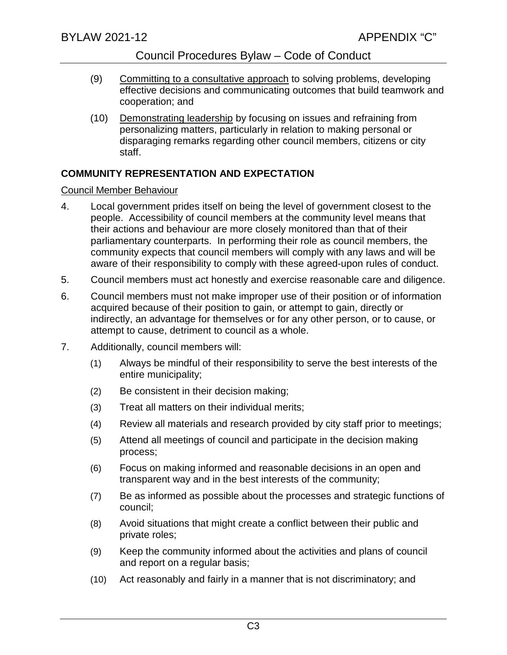- (9) Committing to a consultative approach to solving problems, developing effective decisions and communicating outcomes that build teamwork and cooperation; and
- (10) Demonstrating leadership by focusing on issues and refraining from personalizing matters, particularly in relation to making personal or disparaging remarks regarding other council members, citizens or city staff.

## **COMMUNITY REPRESENTATION AND EXPECTATION**

## Council Member Behaviour

- 4. Local government prides itself on being the level of government closest to the people. Accessibility of council members at the community level means that their actions and behaviour are more closely monitored than that of their parliamentary counterparts. In performing their role as council members, the community expects that council members will comply with any laws and will be aware of their responsibility to comply with these agreed-upon rules of conduct.
- 5. Council members must act honestly and exercise reasonable care and diligence.
- 6. Council members must not make improper use of their position or of information acquired because of their position to gain, or attempt to gain, directly or indirectly, an advantage for themselves or for any other person, or to cause, or attempt to cause, detriment to council as a whole.
- 7. Additionally, council members will:
	- (1) Always be mindful of their responsibility to serve the best interests of the entire municipality;
	- (2) Be consistent in their decision making;
	- (3) Treat all matters on their individual merits;
	- (4) Review all materials and research provided by city staff prior to meetings;
	- (5) Attend all meetings of council and participate in the decision making process;
	- (6) Focus on making informed and reasonable decisions in an open and transparent way and in the best interests of the community;
	- (7) Be as informed as possible about the processes and strategic functions of council;
	- (8) Avoid situations that might create a conflict between their public and private roles;
	- (9) Keep the community informed about the activities and plans of council and report on a regular basis;
	- (10) Act reasonably and fairly in a manner that is not discriminatory; and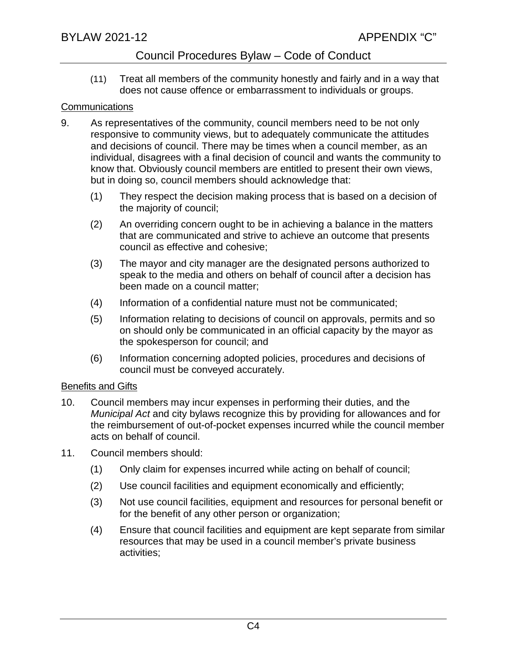(11) Treat all members of the community honestly and fairly and in a way that does not cause offence or embarrassment to individuals or groups.

### **Communications**

- 9. As representatives of the community, council members need to be not only responsive to community views, but to adequately communicate the attitudes and decisions of council. There may be times when a council member, as an individual, disagrees with a final decision of council and wants the community to know that. Obviously council members are entitled to present their own views, but in doing so, council members should acknowledge that:
	- (1) They respect the decision making process that is based on a decision of the majority of council;
	- (2) An overriding concern ought to be in achieving a balance in the matters that are communicated and strive to achieve an outcome that presents council as effective and cohesive;
	- (3) The mayor and city manager are the designated persons authorized to speak to the media and others on behalf of council after a decision has been made on a council matter;
	- (4) Information of a confidential nature must not be communicated;
	- (5) Information relating to decisions of council on approvals, permits and so on should only be communicated in an official capacity by the mayor as the spokesperson for council; and
	- (6) Information concerning adopted policies, procedures and decisions of council must be conveyed accurately.

## **Benefits and Gifts**

- 10. Council members may incur expenses in performing their duties, and the *Municipal Act* and city bylaws recognize this by providing for allowances and for the reimbursement of out-of-pocket expenses incurred while the council member acts on behalf of council.
- 11. Council members should:
	- (1) Only claim for expenses incurred while acting on behalf of council;
	- (2) Use council facilities and equipment economically and efficiently;
	- (3) Not use council facilities, equipment and resources for personal benefit or for the benefit of any other person or organization;
	- (4) Ensure that council facilities and equipment are kept separate from similar resources that may be used in a council member's private business activities;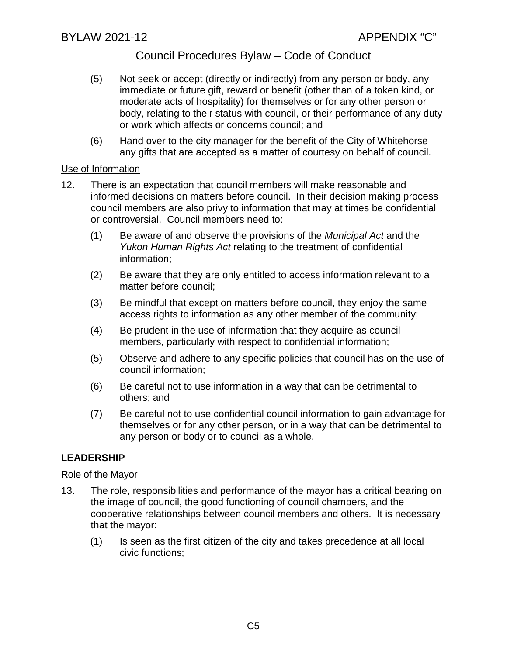- (5) Not seek or accept (directly or indirectly) from any person or body, any immediate or future gift, reward or benefit (other than of a token kind, or moderate acts of hospitality) for themselves or for any other person or body, relating to their status with council, or their performance of any duty or work which affects or concerns council; and
- (6) Hand over to the city manager for the benefit of the City of Whitehorse any gifts that are accepted as a matter of courtesy on behalf of council.

#### Use of Information

- 12. There is an expectation that council members will make reasonable and informed decisions on matters before council. In their decision making process council members are also privy to information that may at times be confidential or controversial. Council members need to:
	- (1) Be aware of and observe the provisions of the *Municipal Act* and the *Yukon Human Rights Act* relating to the treatment of confidential information;
	- (2) Be aware that they are only entitled to access information relevant to a matter before council;
	- (3) Be mindful that except on matters before council, they enjoy the same access rights to information as any other member of the community;
	- (4) Be prudent in the use of information that they acquire as council members, particularly with respect to confidential information;
	- (5) Observe and adhere to any specific policies that council has on the use of council information;
	- (6) Be careful not to use information in a way that can be detrimental to others; and
	- (7) Be careful not to use confidential council information to gain advantage for themselves or for any other person, or in a way that can be detrimental to any person or body or to council as a whole.

## **LEADERSHIP**

## Role of the Mayor

- 13. The role, responsibilities and performance of the mayor has a critical bearing on the image of council, the good functioning of council chambers, and the cooperative relationships between council members and others. It is necessary that the mayor:
	- (1) Is seen as the first citizen of the city and takes precedence at all local civic functions;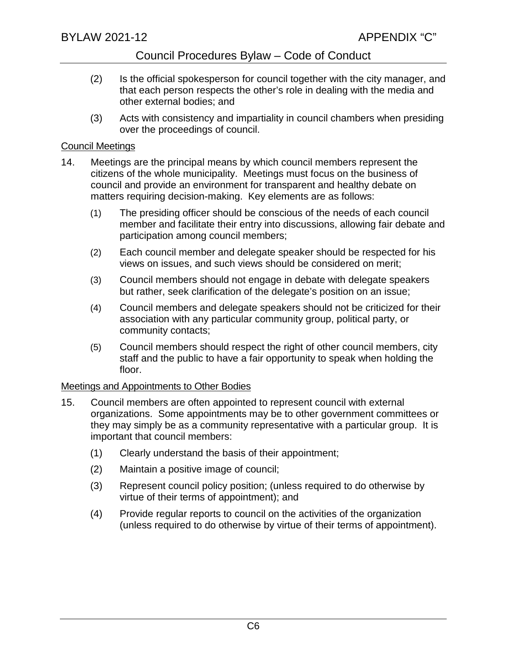- (2) Is the official spokesperson for council together with the city manager, and that each person respects the other's role in dealing with the media and other external bodies; and
- (3) Acts with consistency and impartiality in council chambers when presiding over the proceedings of council.

### Council Meetings

- 14. Meetings are the principal means by which council members represent the citizens of the whole municipality. Meetings must focus on the business of council and provide an environment for transparent and healthy debate on matters requiring decision-making. Key elements are as follows:
	- (1) The presiding officer should be conscious of the needs of each council member and facilitate their entry into discussions, allowing fair debate and participation among council members;
	- (2) Each council member and delegate speaker should be respected for his views on issues, and such views should be considered on merit;
	- (3) Council members should not engage in debate with delegate speakers but rather, seek clarification of the delegate's position on an issue;
	- (4) Council members and delegate speakers should not be criticized for their association with any particular community group, political party, or community contacts;
	- (5) Council members should respect the right of other council members, city staff and the public to have a fair opportunity to speak when holding the floor.

## Meetings and Appointments to Other Bodies

- 15. Council members are often appointed to represent council with external organizations. Some appointments may be to other government committees or they may simply be as a community representative with a particular group. It is important that council members:
	- (1) Clearly understand the basis of their appointment;
	- (2) Maintain a positive image of council;
	- (3) Represent council policy position; (unless required to do otherwise by virtue of their terms of appointment); and
	- (4) Provide regular reports to council on the activities of the organization (unless required to do otherwise by virtue of their terms of appointment).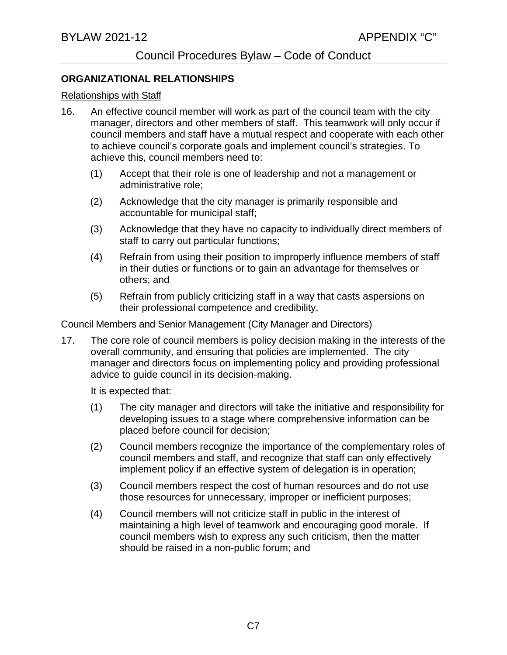#### **ORGANIZATIONAL RELATIONSHIPS**

#### Relationships with Staff

- 16. An effective council member will work as part of the council team with the city manager, directors and other members of staff. This teamwork will only occur if council members and staff have a mutual respect and cooperate with each other to achieve council's corporate goals and implement council's strategies. To achieve this, council members need to:
	- (1) Accept that their role is one of leadership and not a management or administrative role;
	- (2) Acknowledge that the city manager is primarily responsible and accountable for municipal staff;
	- (3) Acknowledge that they have no capacity to individually direct members of staff to carry out particular functions;
	- (4) Refrain from using their position to improperly influence members of staff in their duties or functions or to gain an advantage for themselves or others; and
	- (5) Refrain from publicly criticizing staff in a way that casts aspersions on their professional competence and credibility.

Council Members and Senior Management (City Manager and Directors)

17. The core role of council members is policy decision making in the interests of the overall community, and ensuring that policies are implemented. The city manager and directors focus on implementing policy and providing professional advice to guide council in its decision-making.

It is expected that:

- (1) The city manager and directors will take the initiative and responsibility for developing issues to a stage where comprehensive information can be placed before council for decision;
- (2) Council members recognize the importance of the complementary roles of council members and staff, and recognize that staff can only effectively implement policy if an effective system of delegation is in operation;
- (3) Council members respect the cost of human resources and do not use those resources for unnecessary, improper or inefficient purposes;
- (4) Council members will not criticize staff in public in the interest of maintaining a high level of teamwork and encouraging good morale. If council members wish to express any such criticism, then the matter should be raised in a non-public forum; and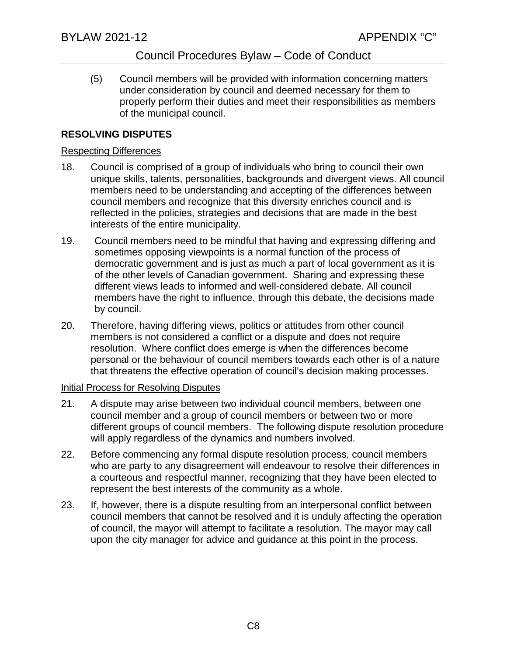(5) Council members will be provided with information concerning matters under consideration by council and deemed necessary for them to properly perform their duties and meet their responsibilities as members of the municipal council.

## **RESOLVING DISPUTES**

### Respecting Differences

- 18. Council is comprised of a group of individuals who bring to council their own unique skills, talents, personalities, backgrounds and divergent views. All council members need to be understanding and accepting of the differences between council members and recognize that this diversity enriches council and is reflected in the policies, strategies and decisions that are made in the best interests of the entire municipality.
- 19. Council members need to be mindful that having and expressing differing and sometimes opposing viewpoints is a normal function of the process of democratic government and is just as much a part of local government as it is of the other levels of Canadian government. Sharing and expressing these different views leads to informed and well-considered debate. All council members have the right to influence, through this debate, the decisions made by council.
- 20. Therefore, having differing views, politics or attitudes from other council members is not considered a conflict or a dispute and does not require resolution. Where conflict does emerge is when the differences become personal or the behaviour of council members towards each other is of a nature that threatens the effective operation of council's decision making processes.

#### Initial Process for Resolving Disputes

- 21. A dispute may arise between two individual council members, between one council member and a group of council members or between two or more different groups of council members. The following dispute resolution procedure will apply regardless of the dynamics and numbers involved.
- 22. Before commencing any formal dispute resolution process, council members who are party to any disagreement will endeavour to resolve their differences in a courteous and respectful manner, recognizing that they have been elected to represent the best interests of the community as a whole.
- 23. If, however, there is a dispute resulting from an interpersonal conflict between council members that cannot be resolved and it is unduly affecting the operation of council, the mayor will attempt to facilitate a resolution. The mayor may call upon the city manager for advice and guidance at this point in the process.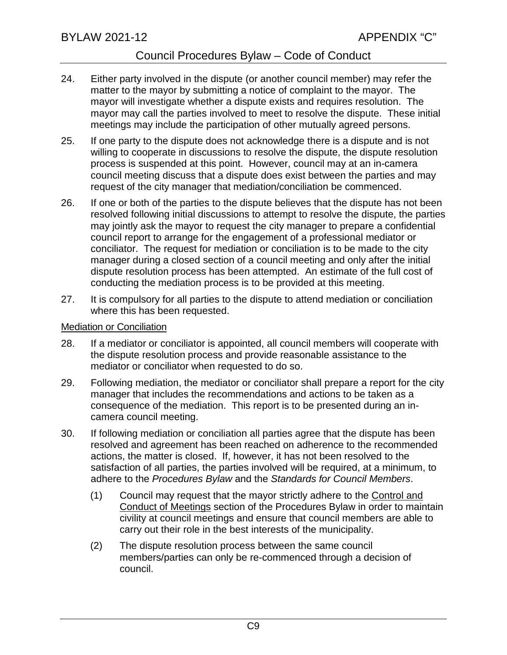- 24. Either party involved in the dispute (or another council member) may refer the matter to the mayor by submitting a notice of complaint to the mayor. The mayor will investigate whether a dispute exists and requires resolution. The mayor may call the parties involved to meet to resolve the dispute. These initial meetings may include the participation of other mutually agreed persons.
- 25. If one party to the dispute does not acknowledge there is a dispute and is not willing to cooperate in discussions to resolve the dispute, the dispute resolution process is suspended at this point. However, council may at an in-camera council meeting discuss that a dispute does exist between the parties and may request of the city manager that mediation/conciliation be commenced.
- 26. If one or both of the parties to the dispute believes that the dispute has not been resolved following initial discussions to attempt to resolve the dispute, the parties may jointly ask the mayor to request the city manager to prepare a confidential council report to arrange for the engagement of a professional mediator or conciliator. The request for mediation or conciliation is to be made to the city manager during a closed section of a council meeting and only after the initial dispute resolution process has been attempted. An estimate of the full cost of conducting the mediation process is to be provided at this meeting.
- 27. It is compulsory for all parties to the dispute to attend mediation or conciliation where this has been requested.

#### Mediation or Conciliation

- 28. If a mediator or conciliator is appointed, all council members will cooperate with the dispute resolution process and provide reasonable assistance to the mediator or conciliator when requested to do so.
- 29. Following mediation, the mediator or conciliator shall prepare a report for the city manager that includes the recommendations and actions to be taken as a consequence of the mediation. This report is to be presented during an incamera council meeting.
- 30. If following mediation or conciliation all parties agree that the dispute has been resolved and agreement has been reached on adherence to the recommended actions, the matter is closed. If, however, it has not been resolved to the satisfaction of all parties, the parties involved will be required, at a minimum, to adhere to the *Procedures Bylaw* and the *Standards for Council Members*.
	- (1) Council may request that the mayor strictly adhere to the Control and Conduct of Meetings section of the Procedures Bylaw in order to maintain civility at council meetings and ensure that council members are able to carry out their role in the best interests of the municipality.
	- (2) The dispute resolution process between the same council members/parties can only be re-commenced through a decision of council.